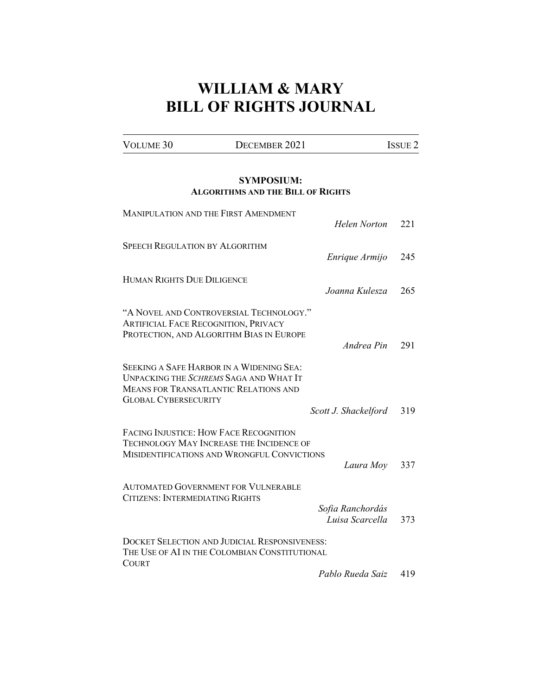## **WILLIAM & MARY BILL OF RIGHTS JOURNAL**

| VOLUME 30 | DECEMBER 2021 |  |
|-----------|---------------|--|

## **SYMPOSIUM: ALGORITHMS AND THE BILL OF RIGHTS**

| <b>MANIPULATION AND THE FIRST AMENDMENT</b>                                                                                                                              | Helen Norton                        | 221 |
|--------------------------------------------------------------------------------------------------------------------------------------------------------------------------|-------------------------------------|-----|
| <b>SPEECH REGULATION BY ALGORITHM</b>                                                                                                                                    | Enrique Armijo                      | 245 |
| <b>HUMAN RIGHTS DUE DILIGENCE</b>                                                                                                                                        | Joanna Kulesza                      | 265 |
| "A NOVEL AND CONTROVERSIAL TECHNOLOGY."<br><b>ARTIFICIAL FACE RECOGNITION, PRIVACY</b><br>PROTECTION, AND ALGORITHM BIAS IN EUROPE                                       | Andrea Pin                          | 291 |
| <b>SEEKING A SAFE HARBOR IN A WIDENING SEA:</b><br>UNPACKING THE SCHREMS SAGA AND WHAT IT<br><b>MEANS FOR TRANSATLANTIC RELATIONS AND</b><br><b>GLOBAL CYBERSECURITY</b> |                                     |     |
|                                                                                                                                                                          | Scott J. Shackelford                | 319 |
| <b>FACING INJUSTICE: HOW FACE RECOGNITION</b><br><b>TECHNOLOGY MAY INCREASE THE INCIDENCE OF</b><br>MISIDENTIFICATIONS AND WRONGFUL CONVICTIONS                          | Laura Moy                           | 337 |
|                                                                                                                                                                          |                                     |     |
| <b>AUTOMATED GOVERNMENT FOR VULNERABLE</b><br>CITIZENS: INTERMEDIATING RIGHTS                                                                                            | Sofia Ranchordás<br>Luisa Scarcella | 373 |
| <b>DOCKET SELECTION AND JUDICIAL RESPONSIVENESS:</b><br>THE USE OF AI IN THE COLOMBIAN CONSTITUTIONAL<br><b>COURT</b>                                                    |                                     |     |
|                                                                                                                                                                          | Pablo Rueda Saiz                    | 419 |